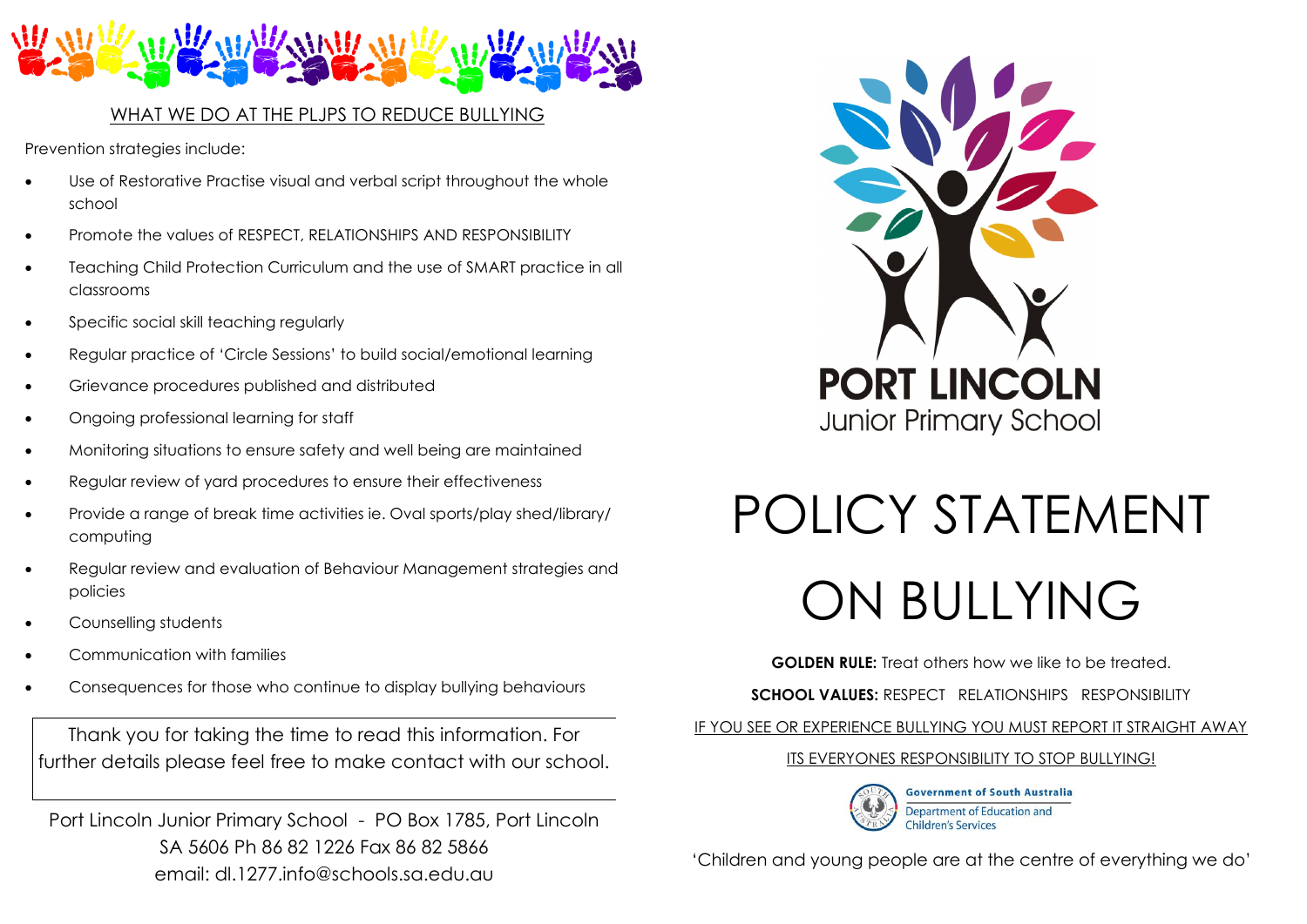

# WHAT WE DO AT THE PLJPS TO REDUCE BULLYING

Prevention strategies include:

- Use of Restorative Practise visual and verbal script throughout the whole school
- Promote the values of RESPECT, RELATIONSHIPS AND RESPONSIBILITY
- Teaching Child Protection Curriculum and the use of SMART practice in all classrooms
- Specific social skill teaching regularly
- Regular practice of 'Circle Sessions' to build social/emotional learning
- Grievance procedures published and distributed
- Ongoing professional learning for staff
- Monitoring situations to ensure safety and well being are maintained
- Regular review of yard procedures to ensure their effectiveness
- Provide a range of break time activities ie. Oval sports/play shed/library/ computing
- Regular review and evaluation of Behaviour Management strategies and policies
- Counselling students
- Communication with families
- Consequences for those who continue to display bullying behaviours

Thank you for taking the time to read this information. For further details please feel free to make contact with our school.

Port Lincoln Junior Primary School - PO Box 1785, Port Lincoln SA 5606 Ph 86 82 1226 Fax 86 82 5866 email: dl.1277.info@schools.sa.edu.au



# POLICY STATEMENT

# ON BULLYING

**GOLDEN RULE:** Treat others how we like to be treated.

**SCHOOL VALUES:** RESPECT RELATIONSHIPS RESPONSIBILITY

IF YOU SEE OR EXPERIENCE BULLYING YOU MUST REPORT IT STRAIGHT AWAY

# ITS EVERYONES RESPONSIBILITY TO STOP BULLYING!



'Children and young people are at the centre of everything we do'